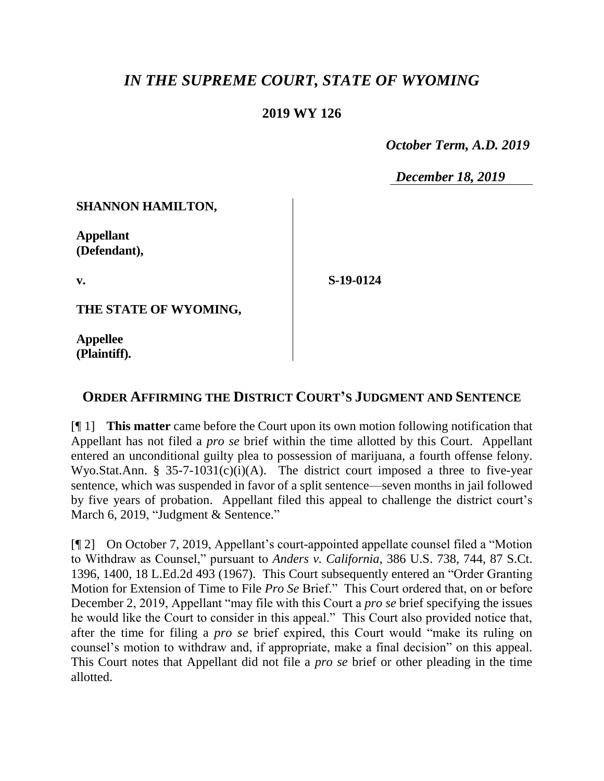## *IN THE SUPREME COURT, STATE OF WYOMING*

## **2019 WY 126**

 *October Term, A.D. 2019*

*December 18, 2019*

**SHANNON HAMILTON,**

**Appellant (Defendant),**

**v.**

**S-19-0124**

**THE STATE OF WYOMING,**

**Appellee (Plaintiff).**

## **ORDER AFFIRMING THE DISTRICT COURT'S JUDGMENT AND SENTENCE**

[¶ 1] **This matter** came before the Court upon its own motion following notification that Appellant has not filed a *pro se* brief within the time allotted by this Court. Appellant entered an unconditional guilty plea to possession of marijuana, a fourth offense felony. Wyo.Stat.Ann. § 35-7-1031(c)(i)(A). The district court imposed a three to five-year sentence, which was suspended in favor of a split sentence—seven months in jail followed by five years of probation. Appellant filed this appeal to challenge the district court's March 6, 2019, "Judgment & Sentence."

[¶ 2] On October 7, 2019, Appellant's court-appointed appellate counsel filed a "Motion to Withdraw as Counsel," pursuant to *Anders v. California*, 386 U.S. 738, 744, 87 S.Ct. 1396, 1400, 18 L.Ed.2d 493 (1967). This Court subsequently entered an "Order Granting Motion for Extension of Time to File *Pro Se* Brief." This Court ordered that, on or before December 2, 2019, Appellant "may file with this Court a *pro se* brief specifying the issues he would like the Court to consider in this appeal." This Court also provided notice that, after the time for filing a *pro se* brief expired, this Court would "make its ruling on counsel's motion to withdraw and, if appropriate, make a final decision" on this appeal. This Court notes that Appellant did not file a *pro se* brief or other pleading in the time allotted.